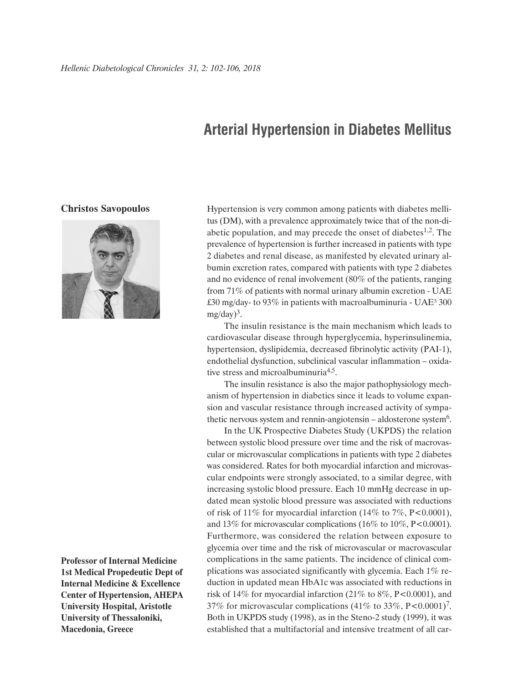## **Arterial Hypertension in Diabetes Mellitus**

## **Christos Savopoulos**



**Professor of Internal Medicine 1st Medical Propedeutic Dept of Internal Medicine & Excellence Center of Hypertension, AHEPA University Hospital, Aristotle University of Thessaloniki, Macedonia, Greece**

Hypertension is very common among patients with diabetes mellitus (DM), with a prevalence approximately twice that of the non-diabetic population, and may precede the onset of diabetes $1,2$ . The prevalence of hypertension is further increased in patients with type 2 diabetes and renal disease, as manifested by elevated urinary albumin excretion rates, compared with patients with type 2 diabetes and no evidence of renal involvement (80% of the patients, ranging from 71% of patients with normal urinary albumin excretion - UAE £30 mg/day- to 93% in patients with macroalbuminuria - UAE³ 300  $mg/day)^3$ .

The insulin resistance is the main mechanism which leads to cardiovascular disease through hyperglycemia, hyperinsulinemia, hypertension, dyslipidemia, decreased fibrinolytic activity (PAI-1), endothelial dysfunction, subclinical vascular inflammation – oxidative stress and microalbuminuria<sup>4,5</sup>.

The insulin resistance is also the major pathophysiology mechanism of hypertension in diabetics since it leads to volume expansion and vascular resistance through increased activity of sympathetic nervous system and rennin-angiotensin – aldosterone system $6$ .

In the UK Prospective Diabetes Study (UKPDS) the relation between systolic blood pressure over time and the risk of macrovascular or microvascular complications in patients with type 2 diabetes was considered. Rates for both myocardial infarction and microvascular endpoints were strongly associated, to a similar degree, with increasing systolic blood pressure. Each 10 mmHg decrease in updated mean systolic blood pressure was associated with reductions of risk of 11% for myocardial infarction (14% to 7%, P<0.0001), and 13% for microvascular complications (16% to 10%, P<0.0001). Furthermore, was considered the relation between exposure to glycemia over time and the risk of microvascular or macrovascular complications in the same patients. The incidence of clinical complications was associated significantly with glycemia. Each 1% reduction in updated mean HbA1c was associated with reductions in risk of 14% for myocardial infarction  $(21\%$  to 8%, P<0.0001), and 37% for microvascular complications (41% to 33%, P<0.0001)<sup>7</sup>. Both in UKPDS study (1998), as in the Steno-2 study (1999), it was established that a multifactorial and intensive treatment of all car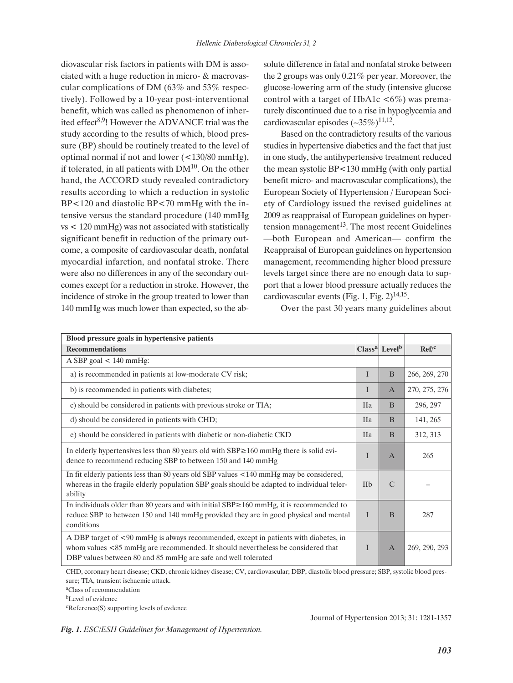diovascular risk factors in patients with DM is associated with a huge reduction in micro- & macrovascular complications of DM (63% and 53% respectively). Followed by a 10-year post-interventional benefit, which was called as phenomenon of inherited effect<sup>8,9</sup>! However the ADVANCE trial was the study according to the results of which, blood pressure (BP) should be routinely treated to the level of optimal normal if not and lower (<130/80 mmHg), if tolerated, in all patients with  $DM<sup>10</sup>$ . On the other hand, the ACCORD study revealed contradictory results according to which a reduction in systolic BP<120 and diastolic BP<70 mmHg with the intensive versus the standard procedure (140 mmHg vs < 120 mmHg) was not associated with statistically significant benefit in reduction of the primary outcome, a composite of cardiovascular death, nonfatal myocardial infarction, and nonfatal stroke. There were also no differences in any of the secondary outcomes except for a reduction in stroke. However, the incidence of stroke in the group treated to lower than 140 mmHg was much lower than expected, so the absolute difference in fatal and nonfatal stroke between the 2 groups was only 0.21% per year. Moreover, the glucose-lowering arm of the study (intensive glucose control with a target of HbA1c  $\lt 6\%$ ) was prematurely discontinued due to a rise in hypoglycemia and cardiovascular episodes  $(-35\%)^{11,12}$ .

Based on the contradictory results of the various studies in hypertensive diabetics and the fact that just in one study, the antihypertensive treatment reduced the mean systolic BP<130 mmHg (with only partial benefit micro- and macrovascular complications), the European Society of Hypertension / European Society of Cardiology issued the revised guidelines at 2009 as reappraisal of European guidelines on hypertension management 13. The most recent Guidelines —both European and American— confirm the Reappraisal of European guidelines on hypertension management, recommending higher blood pressure levels target since there are no enough data to support that a lower blood pressure actually reduces the cardiovascular events (Fig. 1, Fig.  $2)^{14,15}$ .

Over the past 30 years many guidelines about

| Blood pressure goals in hypertensive patients                                                                                                                                                                                            |              |                             |                  |
|------------------------------------------------------------------------------------------------------------------------------------------------------------------------------------------------------------------------------------------|--------------|-----------------------------|------------------|
| <b>Recommendations</b>                                                                                                                                                                                                                   |              | $Classa$ Level <sup>b</sup> | Ref <sup>c</sup> |
| A SBP goal $< 140$ mmHg:                                                                                                                                                                                                                 |              |                             |                  |
| a) is recommended in patients at low-moderate CV risk;                                                                                                                                                                                   | $\mathbf{I}$ | B                           | 266, 269, 270    |
| b) is recommended in patients with diabetes;                                                                                                                                                                                             | I            | $\mathbf{A}$                | 270, 275, 276    |
| c) should be considered in patients with previous stroke or TIA;                                                                                                                                                                         | <b>IIa</b>   | <sub>B</sub>                | 296, 297         |
| d) should be considered in patients with CHD;                                                                                                                                                                                            | <b>IIa</b>   | <sub>B</sub>                | 141, 265         |
| e) should be considered in patients with diabetic or non-diabetic CKD                                                                                                                                                                    | <b>IIa</b>   | B                           | 312, 313         |
| In elderly hypertensives less than 80 years old with $SBP \ge 160$ mmHg there is solid evi-<br>dence to recommend reducing SBP to between 150 and 140 mmHg                                                                               | T            | $\mathbf{A}$                | 265              |
| In fit elderly patients less than 80 years old SBP values <140 mmHg may be considered,<br>whereas in the fragile elderly population SBP goals should be adapted to individual teler-<br>ability                                          | <b>IIb</b>   | $\mathcal{C}$               |                  |
| In individuals older than 80 years and with initial SBP $\geq$ 160 mmHg, it is recommended to<br>reduce SBP to between 150 and 140 mmHg provided they are in good physical and mental<br>conditions                                      | $\mathbf I$  | B                           | 287              |
| A DBP target of <90 mmHg is always recommended, except in patients with diabetes, in<br>whom values <85 mmHg are recommended. It should nevertheless be considered that<br>DBP values between 80 and 85 mmHg are safe and well tolerated | $\mathbf{I}$ | $\mathbf{A}$                | 269, 290, 293    |

CHD, coronary heart disease; CKD, chronic kidney disease; CV, cardiovascular; DBP, diastolic blood pressure; SBP, systolic blood pressure; TIA, transient ischaemic attack.

aClass of recommendation

c Reference(S) supporting levels of evdence

*Fig. 1. ESC/ESH Guidelines for Management of Hypertension.*

Journal of Hypertension 2013; 31: 1281-1357

<sup>&</sup>lt;sup>b</sup>Level of evidence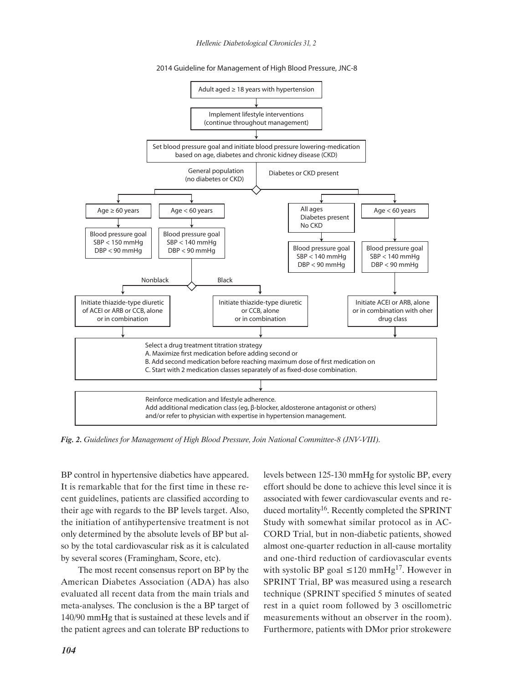*Hellenic Diabetological Chronicles 31, 2*

2014 Guideline for Management of High Blood Pressure, JNC-8



*Fig. 2. Guidelines for Management of High Blood Pressure, Join National Committee-8 (JNV-VIII).*

BP control in hypertensive diabetics have appeared. It is remarkable that for the first time in these recent guidelines, patients are classified according to their age with regards to the BP levels target. Also, the initiation of antihypertensive treatment is not only determined by the absolute levels of BP but also by the total cardiovascular risk as it is calculated by several scores (Framingham, Score, etc).

The most recent consensus report on BP by the American Diabetes Association (ADA) has also evaluated all recent data from the main trials and meta-analyses. The conclusion is the a BP target of 140/90 mmHg that is sustained at these levels and if the patient agrees and can tolerate BP reductions to

levels between 125-130 mmHg for systolic BP, every effort should be done to achieve this level since it is associated with fewer cardiovascular events and reduced mortality<sup>16</sup>. Recently completed the SPRINT Study with somewhat similar protocol as in AC-CORD Trial, but in non-diabetic patients, showed almost one-quarter reduction in all-cause mortality and one-third reduction of cardiovascular events with systolic BP goal  $\leq 120$  mmHg<sup>17</sup>. However in SPRINT Trial, BP was measured using a research technique (SPRINT specified 5 minutes of seated rest in a quiet room followed by 3 oscillometric measurements without an observer in the room). Furthermore, patients with DMor prior strokewere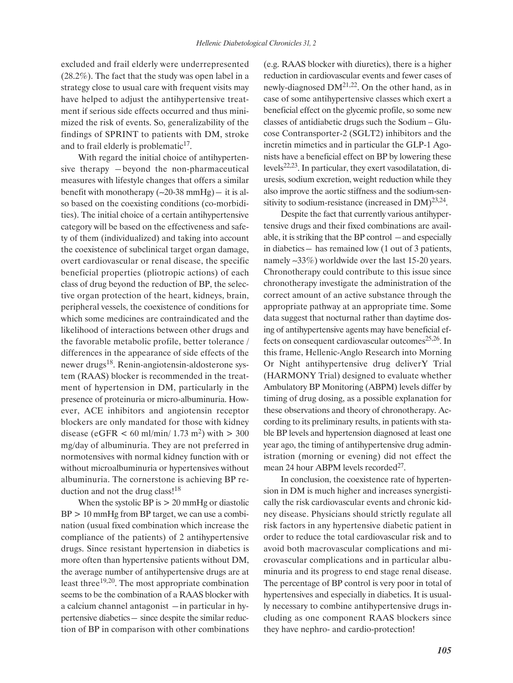excluded and frail elderly were underrepresented (28.2%). The fact that the study was open label in a strategy close to usual care with frequent visits may have helped to adjust the antihypertensive treatment if serious side effects occurred and thus minimized the risk of events. So, generalizability of the findings of SPRINT to patients with DM, stroke and to frail elderly is problematic $17$ .

With regard the initial choice of antihypertensive therapy ―beyond the non-pharmaceutical measures with lifestyle changes that offers a similar benefit with monotherapy  $(-20-38 \text{ mmHg})$ — it is also based on the coexisting conditions (co-morbidities). The initial choice of a certain antihypertensive category will be based on the effectiveness and safety of them (individualized) and taking into account the coexistence of subclinical target organ damage, overt cardiovascular or renal disease, the specific beneficial properties (pliotropic actions) of each class of drug beyond the reduction of BP, the selective organ protection of the heart, kidneys, brain, peripheral vessels, the coexistence of conditions for which some medicines are contraindicated and the likelihood of interactions between other drugs and the favorable metabolic profile, better tolerance / differences in the appearance of side effects of the newer drugs18. Renin-angiotensin-aldosterone system (RAAS) blocker is recommended in the treatment of hypertension in DM, particularly in the presence of proteinuria or micro-albuminuria. However, ACE inhibitors and angiotensin receptor blockers are only mandated for those with kidney disease (eGFR  $<$  60 ml/min/ 1.73 m<sup>2</sup>) with  $>$  300 mg/day of albuminuria. They are not preferred in normotensives with normal kidney function with or without microalbuminuria or hypertensives without albuminuria. The cornerstone is achieving BP reduction and not the drug class!<sup>18</sup>

When the systolic BP is  $> 20$  mmHg or diastolic  $BP > 10$  mmHg from BP target, we can use a combination (usual fixed combination which increase the compliance of the patients) of 2 antihypertensive drugs. Since resistant hypertension in diabetics is more often than hypertensive patients without DM, the average number of antihypertensive drugs are at least three19,20. The most appropriate combination seems to be the combination of a RAAS blocker with a calcium channel antagonist ―in particular in hypertensive diabetics― since despite the similar reduction of BP in comparison with other combinations (e.g. RAAS blocker with diuretics), there is a higher reduction in cardiovascular events and fewer cases of newly-diagnosed DM21,22. On the other hand, as in case of some antihypertensive classes which exert a beneficial effect on the glycemic profile, so some new classes of antidiabetic drugs such the Sodium – Glucose Contransporter-2 (SGLT2) inhibitors and the incretin mimetics and in particular the GLP-1 Agonists have a beneficial effect on BP by lowering these levels22,23. In particular, they exert vasodilatation, diuresis, sodium excretion, weight reduction while they also improve the aortic stiffness and the sodium-sensitivity to sodium-resistance (increased in  $DM)^{23,24}$ .

Despite the fact that currently various antihypertensive drugs and their fixed combinations are available, it is striking that the BP control ―and especially in diabetics― has remained low (1 out of 3 patients, namely ~33%) worldwide over the last 15-20 years. Chronotherapy could contribute to this issue since chronotherapy investigate the administration of the correct amount of an active substance through the appropriate pathway at an appropriate time. Some data suggest that nocturnal rather than daytime dosing of antihypertensive agents may have beneficial effects on consequent cardiovascular outcomes $25,26$ . In this frame, Hellenic-Anglo Research into Morning Or Night antihypertensive drug deliverY Trial (HARMONY Trial) designed to evaluate whether Ambulatory BP Monitoring (ABPM) levels differ by timing of drug dosing, as a possible explanation for these observations and theory of chronotherapy. According to its preliminary results, in patients with stable BP levels and hypertension diagnosed at least one year ago, the timing of antihypertensive drug administration (morning or evening) did not effect the mean 24 hour ABPM levels recorded<sup>27</sup>.

In conclusion, the coexistence rate of hypertension in DM is much higher and increases synergistically the risk cardiovascular events and chronic kidney disease. Physicians should strictly regulate all risk factors in any hypertensive diabetic patient in order to reduce the total cardiovascular risk and to avoid both macrovascular complications and microvascular complications and in particular albuminuria and its progress to end stage renal disease. The percentage of BP control is very poor in total of hypertensives and especially in diabetics. It is usually necessary to combine antihypertensive drugs including as one component RAAS blockers since they have nephro- and cardio-protection!